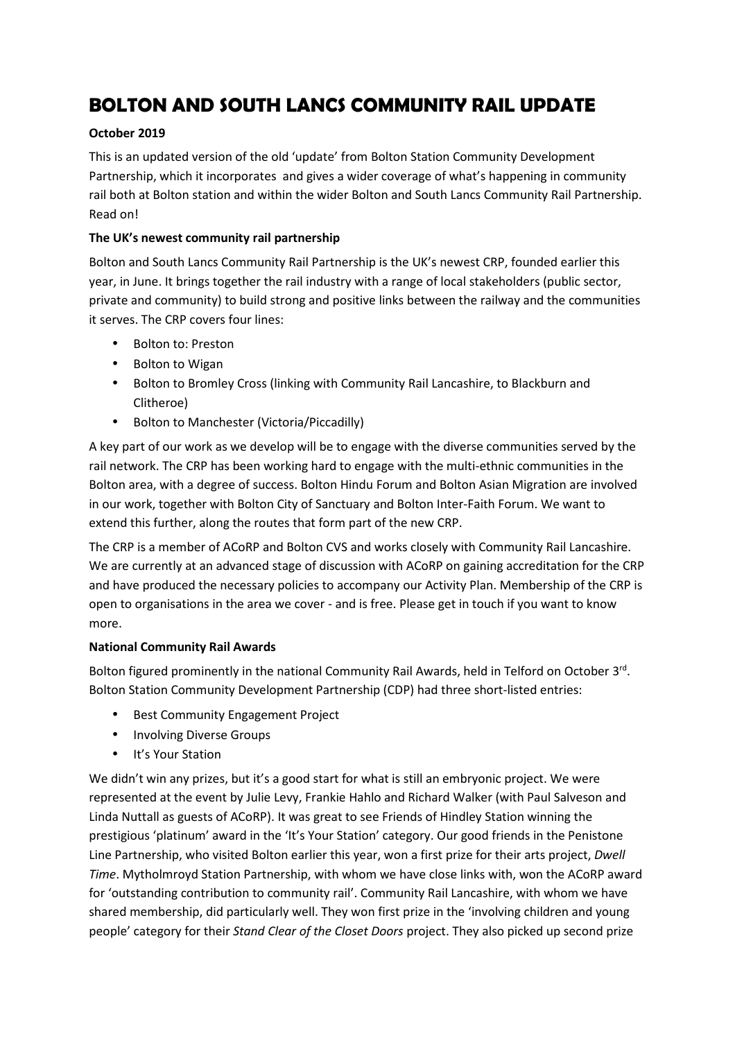# **BOLTON AND SOUTH LANCS COMMUNITY RAIL UPDATE**

### **October 2019**

This is an updated version of the old 'update' from Bolton Station Community Development Partnership, which it incorporates and gives a wider coverage of what's happening in community rail both at Bolton station and within the wider Bolton and South Lancs Community Rail Partnership. Read on!

## **The UK's newest community rail partnership**

Bolton and South Lancs Community Rail Partnership is the UK's newest CRP, founded earlier this year, in June. It brings together the rail industry with a range of local stakeholders (public sector, private and community) to build strong and positive links between the railway and the communities it serves. The CRP covers four lines:

- Bolton to: Preston
- Bolton to Wigan
- Bolton to Bromley Cross (linking with Community Rail Lancashire, to Blackburn and Clitheroe)
- Bolton to Manchester (Victoria/Piccadilly)

A key part of our work as we develop will be to engage with the diverse communities served by the rail network. The CRP has been working hard to engage with the multi-ethnic communities in the Bolton area, with a degree of success. Bolton Hindu Forum and Bolton Asian Migration are involved in our work, together with Bolton City of Sanctuary and Bolton Inter-Faith Forum. We want to extend this further, along the routes that form part of the new CRP.

The CRP is a member of ACoRP and Bolton CVS and works closely with Community Rail Lancashire. We are currently at an advanced stage of discussion with ACoRP on gaining accreditation for the CRP and have produced the necessary policies to accompany our Activity Plan. Membership of the CRP is open to organisations in the area we cover - and is free. Please get in touch if you want to know more.

#### **National Community Rail Awards**

Bolton figured prominently in the national Community Rail Awards, held in Telford on October 3rd. Bolton Station Community Development Partnership (CDP) had three short-listed entries:

- Best Community Engagement Project
- Involving Diverse Groups
- It's Your Station

We didn't win any prizes, but it's a good start for what is still an embryonic project. We were represented at the event by Julie Levy, Frankie Hahlo and Richard Walker (with Paul Salveson and Linda Nuttall as guests of ACoRP). It was great to see Friends of Hindley Station winning the prestigious 'platinum' award in the 'It's Your Station' category. Our good friends in the Penistone Line Partnership, who visited Bolton earlier this year, won a first prize for their arts project, *Dwell Time*. Mytholmroyd Station Partnership, with whom we have close links with, won the ACoRP award for 'outstanding contribution to community rail'. Community Rail Lancashire, with whom we have shared membership, did particularly well. They won first prize in the 'involving children and young people' category for their *Stand Clear of the Closet Doors* project. They also picked up second prize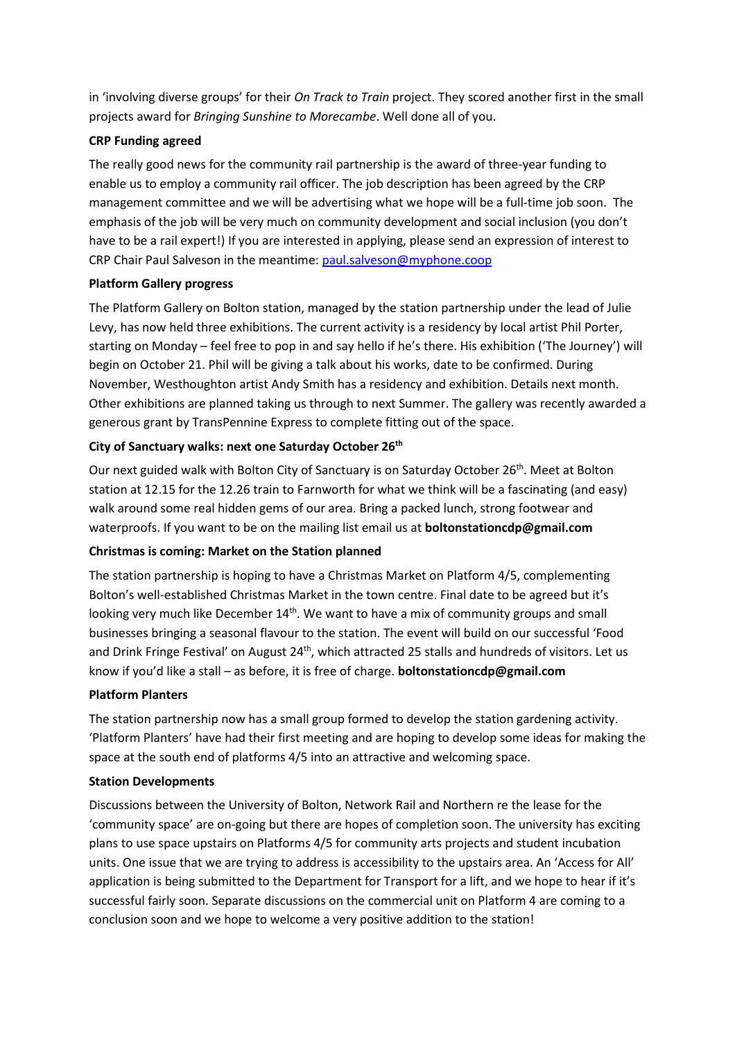in 'involving diverse groups' for their *On Track to Train* project. They scored another first in the small projects award for *Bringing Sunshine to Morecambe*. Well done all of you.

### **CRP Funding agreed**

The really good news for the community rail partnership is the award of three-year funding to enable us to employ a community rail officer. The job description has been agreed by the CRP management committee and we will be advertising what we hope will be a full-time job soon. The emphasis of the job will be very much on community development and social inclusion (you don't have to be a rail expert!) If you are interested in applying, please send an expression of interest to CRP Chair Paul Salveson in the meantime: paul.salveson@myphone.coop

## **Platform Gallery progress**

The Platform Gallery on Bolton station, managed by the station partnership under the lead of Julie Levy, has now held three exhibitions. The current activity is a residency by local artist Phil Porter, starting on Monday – feel free to pop in and say hello if he's there. His exhibition ('The Journey') will begin on October 21. Phil will be giving a talk about his works, date to be confirmed. During November, Westhoughton artist Andy Smith has a residency and exhibition. Details next month. Other exhibitions are planned taking us through to next Summer. The gallery was recently awarded a generous grant by TransPennine Express to complete fitting out of the space.

# **City of Sanctuary walks: next one Saturday October 26th**

Our next guided walk with Bolton City of Sanctuary is on Saturday October 26<sup>th</sup>. Meet at Bolton station at 12.15 for the 12.26 train to Farnworth for what we think will be a fascinating (and easy) walk around some real hidden gems of our area. Bring a packed lunch, strong footwear and waterproofs. If you want to be on the mailing list email us at **boltonstationcdp@gmail.com**

#### **Christmas is coming: Market on the Station planned**

The station partnership is hoping to have a Christmas Market on Platform 4/5, complementing Bolton's well-established Christmas Market in the town centre. Final date to be agreed but it's looking very much like December 14<sup>th</sup>. We want to have a mix of community groups and small businesses bringing a seasonal flavour to the station. The event will build on our successful 'Food and Drink Fringe Festival' on August 24<sup>th</sup>, which attracted 25 stalls and hundreds of visitors. Let us know if you'd like a stall – as before, it is free of charge. **boltonstationcdp@gmail.com** 

#### **Platform Planters**

The station partnership now has a small group formed to develop the station gardening activity. 'Platform Planters' have had their first meeting and are hoping to develop some ideas for making the space at the south end of platforms 4/5 into an attractive and welcoming space.

#### **Station Developments**

Discussions between the University of Bolton, Network Rail and Northern re the lease for the 'community space' are on-going but there are hopes of completion soon. The university has exciting plans to use space upstairs on Platforms 4/5 for community arts projects and student incubation units. One issue that we are trying to address is accessibility to the upstairs area. An 'Access for All' application is being submitted to the Department for Transport for a lift, and we hope to hear if it's successful fairly soon. Separate discussions on the commercial unit on Platform 4 are coming to a conclusion soon and we hope to welcome a very positive addition to the station!